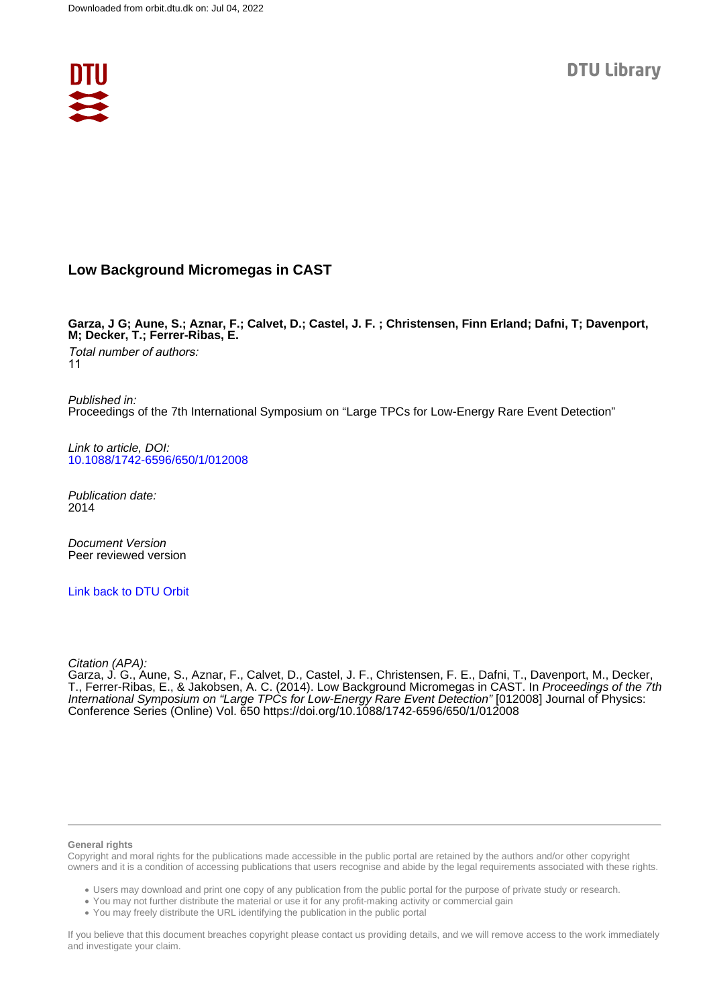

## **Low Background Micromegas in CAST**

**Garza, J G; Aune, S.; Aznar, F.; Calvet, D.; Castel, J. F. ; Christensen, Finn Erland; Dafni, T; Davenport, M; Decker, T.; Ferrer-Ribas, E.**

Total number of authors: 11

Published in: Proceedings of the 7th International Symposium on "Large TPCs for Low-Energy Rare Event Detection"

Link to article, DOI: [10.1088/1742-6596/650/1/012008](https://doi.org/10.1088/1742-6596/650/1/012008)

Publication date: 2014

Document Version Peer reviewed version

[Link back to DTU Orbit](https://orbit.dtu.dk/en/publications/dfbb3a63-1883-4595-bb06-9250fbe7c90f)

Citation (APA):

Garza, J. G., Aune, S., Aznar, F., Calvet, D., Castel, J. F., Christensen, F. E., Dafni, T., Davenport, M., Decker, T., Ferrer-Ribas, E., & Jakobsen, A. C. (2014). Low Background Micromegas in CAST. In *Proceedings of the 7th* International Symposium on "Large TPCs for Low-Energy Rare Event Detection" [012008] Journal of Physics: Conference Series (Online) Vol. 650<https://doi.org/10.1088/1742-6596/650/1/012008>

#### **General rights**

Copyright and moral rights for the publications made accessible in the public portal are retained by the authors and/or other copyright owners and it is a condition of accessing publications that users recognise and abide by the legal requirements associated with these rights.

Users may download and print one copy of any publication from the public portal for the purpose of private study or research.

- You may not further distribute the material or use it for any profit-making activity or commercial gain
- You may freely distribute the URL identifying the publication in the public portal

If you believe that this document breaches copyright please contact us providing details, and we will remove access to the work immediately and investigate your claim.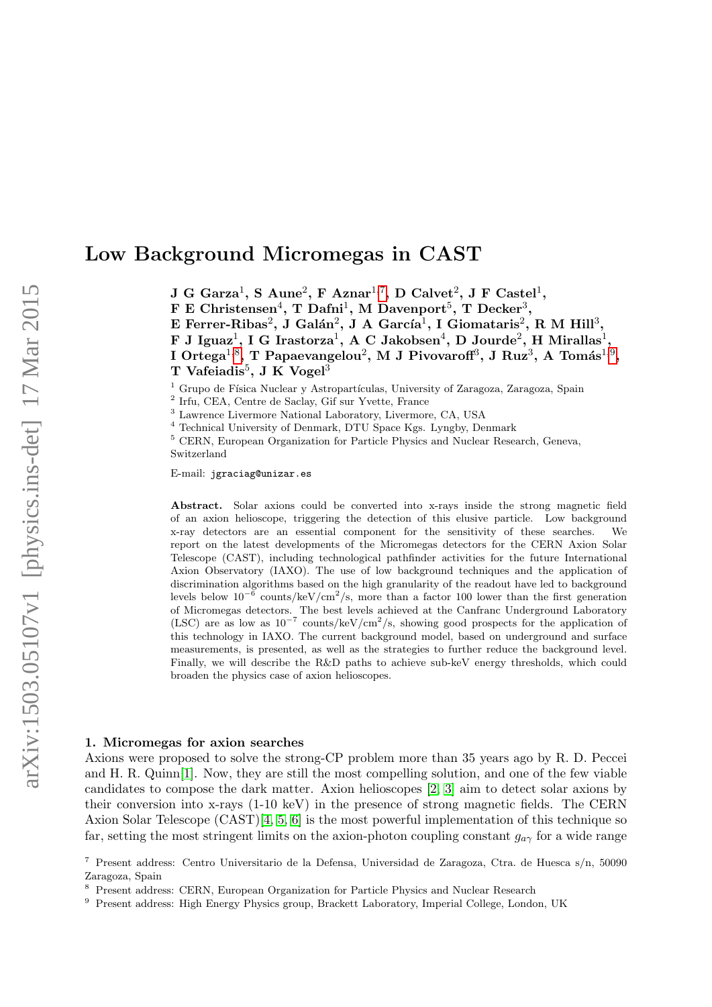# Low Background Micromegas in CAST

 $J G Garza<sup>1</sup>, S Aune<sup>2</sup>, F Aznar<sup>1,7</sup>, D Calvet<sup>2</sup>, J F Castel<sup>1</sup>,$  $J G Garza<sup>1</sup>, S Aune<sup>2</sup>, F Aznar<sup>1,7</sup>, D Calvet<sup>2</sup>, J F Castel<sup>1</sup>,$  $J G Garza<sup>1</sup>, S Aune<sup>2</sup>, F Aznar<sup>1,7</sup>, D Calvet<sup>2</sup>, J F Castel<sup>1</sup>,$ 

F E Christensen<sup>4</sup>, T Dafni<sup>1</sup>, M Davenport<sup>5</sup>, T Decker<sup>3</sup>,

E Ferrer-Ribas<sup>2</sup>, J Galán<sup>2</sup>, J A García<sup>1</sup>, I Giomataris<sup>2</sup>, R M Hill<sup>3</sup>,

F J Iguaz<sup>1</sup>, I G Irastorza<sup>1</sup>, A C Jakobsen<sup>4</sup>, D Jourde<sup>2</sup>, H Mirallas<sup>1</sup>,

I Ortega $^{1,8},$  $^{1,8},$  $^{1,8},$  T Papaevangelou $^2,$  M J Pivovaroff $^3,$  J Ruz $^3,$  A Tomás $^{1,9},$  $^{1,9},$  $^{1,9},$ T Vafeiadis<sup>5</sup>, J K Vogel<sup>3</sup>

 $1$  Grupo de Física Nuclear y Astropartículas, University of Zaragoza, Zaragoza, Spain

2 Irfu, CEA, Centre de Saclay, Gif sur Yvette, France

<sup>3</sup> Lawrence Livermore National Laboratory, Livermore, CA, USA

<sup>4</sup> Technical University of Denmark, DTU Space Kgs. Lyngby, Denmark

<sup>5</sup> CERN, European Organization for Particle Physics and Nuclear Research, Geneva, Switzerland

E-mail: jgraciag@unizar.es

Abstract. Solar axions could be converted into x-rays inside the strong magnetic field of an axion helioscope, triggering the detection of this elusive particle. Low background x-ray detectors are an essential component for the sensitivity of these searches. We report on the latest developments of the Micromegas detectors for the CERN Axion Solar Telescope (CAST), including technological pathfinder activities for the future International Axion Observatory (IAXO). The use of low background techniques and the application of discrimination algorithms based on the high granularity of the readout have led to background levels below  $10^{-6}$  counts/keV/cm<sup>2</sup>/s, more than a factor 100 lower than the first generation of Micromegas detectors. The best levels achieved at the Canfranc Underground Laboratory (LSC) are as low as  $10^{-7}$  counts/keV/cm<sup>2</sup>/s, showing good prospects for the application of this technology in IAXO. The current background model, based on underground and surface measurements, is presented, as well as the strategies to further reduce the background level. Finally, we will describe the R&D paths to achieve sub-keV energy thresholds, which could broaden the physics case of axion helioscopes.

### 1. Micromegas for axion searches

Axions were proposed to solve the strong-CP problem more than 35 years ago by R. D. Peccei and H. R. Quinn[\[1\]](#page-5-0). Now, they are still the most compelling solution, and one of the few viable candidates to compose the dark matter. Axion helioscopes [\[2,](#page-5-1) [3\]](#page-5-2) aim to detect solar axions by their conversion into x-rays (1-10 keV) in the presence of strong magnetic fields. The CERN Axion Solar Telescope (CAST)[\[4,](#page-5-3) [5,](#page-5-4) [6\]](#page-5-5) is the most powerful implementation of this technique so far, setting the most stringent limits on the axion-photon coupling constant  $g_{a\gamma}$  for a wide range

<span id="page-1-0"></span><sup>7</sup> Present address: Centro Universitario de la Defensa, Universidad de Zaragoza, Ctra. de Huesca s/n, 50090 Zaragoza, Spain

<span id="page-1-1"></span><sup>8</sup> Present address: CERN, European Organization for Particle Physics and Nuclear Research

<span id="page-1-2"></span><sup>9</sup> Present address: High Energy Physics group, Brackett Laboratory, Imperial College, London, UK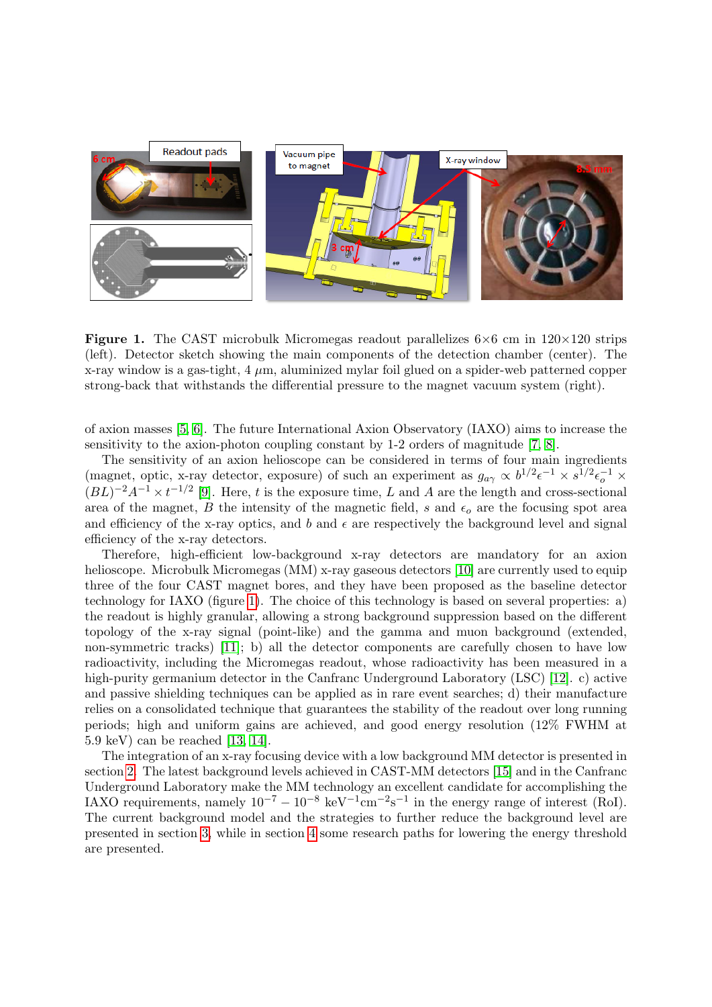

<span id="page-2-0"></span>**Figure 1.** The CAST microbulk Micromegas readout parallelizes  $6 \times 6$  cm in  $120 \times 120$  strips (left). Detector sketch showing the main components of the detection chamber (center). The x-ray window is a gas-tight,  $4 \mu m$ , aluminized mylar foil glued on a spider-web patterned copper strong-back that withstands the differential pressure to the magnet vacuum system (right).

of axion masses [\[5,](#page-5-4) [6\]](#page-5-5). The future International Axion Observatory (IAXO) aims to increase the sensitivity to the axion-photon coupling constant by 1-2 orders of magnitude [\[7,](#page-5-6) [8\]](#page-5-7).

The sensitivity of an axion helioscope can be considered in terms of four main ingredients (magnet, optic, x-ray detector, exposure) of such an experiment as  $g_{a\gamma} \propto b^{1/2} \epsilon^{-1} \times s^{1/2} \epsilon_0^{-1} \times$  $(BL)^{-2}A^{-1} \times t^{-1/2}$  [\[9\]](#page-5-8). Here, t is the exposure time, L and A are the length and cross-sectional area of the magnet, B the intensity of the magnetic field, s and  $\epsilon_o$  are the focusing spot area and efficiency of the x-ray optics, and  $b$  and  $\epsilon$  are respectively the background level and signal efficiency of the x-ray detectors.

Therefore, high-efficient low-background x-ray detectors are mandatory for an axion helioscope. Microbulk Micromegas (MM) x-ray gaseous detectors [\[10\]](#page-5-9) are currently used to equip three of the four CAST magnet bores, and they have been proposed as the baseline detector technology for IAXO (figure [1\)](#page-2-0). The choice of this technology is based on several properties: a) the readout is highly granular, allowing a strong background suppression based on the different topology of the x-ray signal (point-like) and the gamma and muon background (extended, non-symmetric tracks) [\[11\]](#page-5-10); b) all the detector components are carefully chosen to have low radioactivity, including the Micromegas readout, whose radioactivity has been measured in a high-purity germanium detector in the Canfranc Underground Laboratory (LSC) [\[12\]](#page-5-11). c) active and passive shielding techniques can be applied as in rare event searches; d) their manufacture relies on a consolidated technique that guarantees the stability of the readout over long running periods; high and uniform gains are achieved, and good energy resolution (12% FWHM at 5.9 keV) can be reached [\[13,](#page-5-12) [14\]](#page-5-13).

The integration of an x-ray focusing device with a low background MM detector is presented in section [2.](#page-3-0) The latest background levels achieved in CAST-MM detectors [\[15\]](#page-5-14) and in the Canfranc Underground Laboratory make the MM technology an excellent candidate for accomplishing the IAXO requirements, namely  $10^{-7} - 10^{-8} \text{ keV}^{-1} \text{cm}^{-2} \text{s}^{-1}$  in the energy range of interest (RoI). The current background model and the strategies to further reduce the background level are presented in section [3,](#page-3-1) while in section [4](#page-4-0) some research paths for lowering the energy threshold are presented.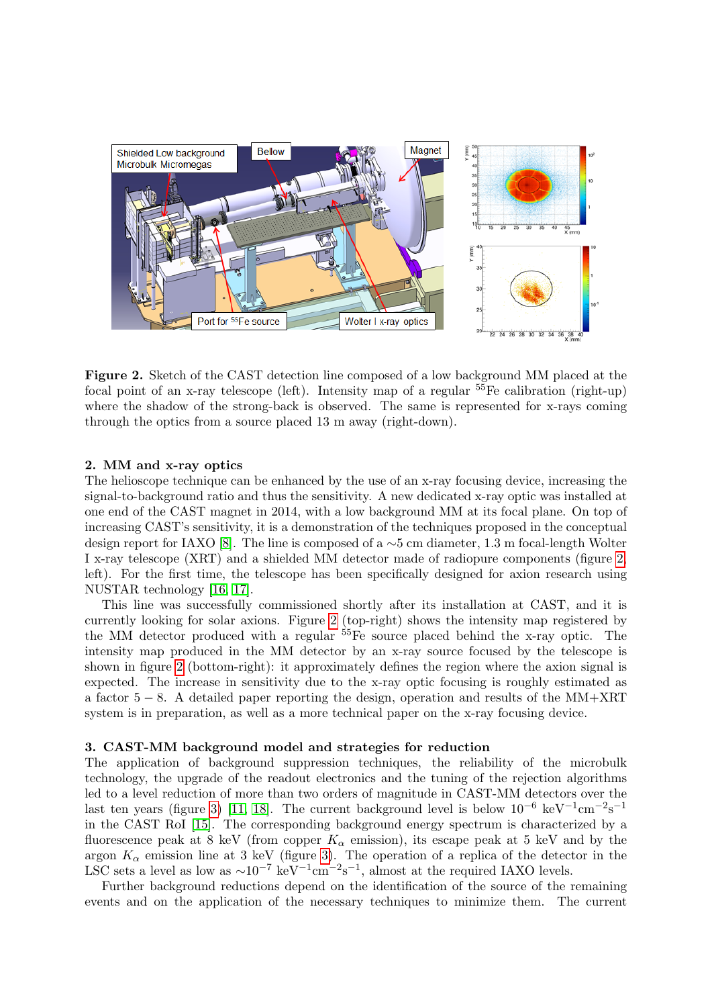

<span id="page-3-2"></span>Figure 2. Sketch of the CAST detection line composed of a low background MM placed at the focal point of an x-ray telescope (left). Intensity map of a regular  $55$ Fe calibration (right-up) where the shadow of the strong-back is observed. The same is represented for x-rays coming through the optics from a source placed 13 m away (right-down).

#### <span id="page-3-0"></span>2. MM and x-ray optics

The helioscope technique can be enhanced by the use of an x-ray focusing device, increasing the signal-to-background ratio and thus the sensitivity. A new dedicated x-ray optic was installed at one end of the CAST magnet in 2014, with a low background MM at its focal plane. On top of increasing CAST's sensitivity, it is a demonstration of the techniques proposed in the conceptual design report for IAXO [\[8\]](#page-5-7). The line is composed of a ∼5 cm diameter, 1.3 m focal-length Wolter I x-ray telescope (XRT) and a shielded MM detector made of radiopure components (figure [2,](#page-3-2) left). For the first time, the telescope has been specifically designed for axion research using NUSTAR technology [\[16,](#page-5-15) [17\]](#page-5-16).

This line was successfully commissioned shortly after its installation at CAST, and it is currently looking for solar axions. Figure [2](#page-3-2) (top-right) shows the intensity map registered by the MM detector produced with a regular  $55$ Fe source placed behind the x-ray optic. The intensity map produced in the MM detector by an x-ray source focused by the telescope is shown in figure [2](#page-3-2) (bottom-right): it approximately defines the region where the axion signal is expected. The increase in sensitivity due to the x-ray optic focusing is roughly estimated as a factor  $5 - 8$ . A detailed paper reporting the design, operation and results of the MM+XRT system is in preparation, as well as a more technical paper on the x-ray focusing device.

#### <span id="page-3-1"></span>3. CAST-MM background model and strategies for reduction

The application of background suppression techniques, the reliability of the microbulk technology, the upgrade of the readout electronics and the tuning of the rejection algorithms led to a level reduction of more than two orders of magnitude in CAST-MM detectors over the last ten years (figure [3\)](#page-4-1) [\[11,](#page-5-10) [18\]](#page-5-17). The current background level is below  $10^{-6}$  keV<sup>-1</sup>cm<sup>-2</sup>s<sup>-1</sup> in the CAST RoI [\[15\]](#page-5-14). The corresponding background energy spectrum is characterized by a fluorescence peak at 8 keV (from copper  $K_{\alpha}$  emission), its escape peak at 5 keV and by the argon  $K_{\alpha}$  emission line at 3 keV (figure [3\)](#page-4-1). The operation of a replica of the detector in the LSC sets a level as low as  $\sim 10^{-7}$  keV<sup>-1</sup>cm<sup>-2</sup>s<sup>-1</sup>, almost at the required IAXO levels.

Further background reductions depend on the identification of the source of the remaining events and on the application of the necessary techniques to minimize them. The current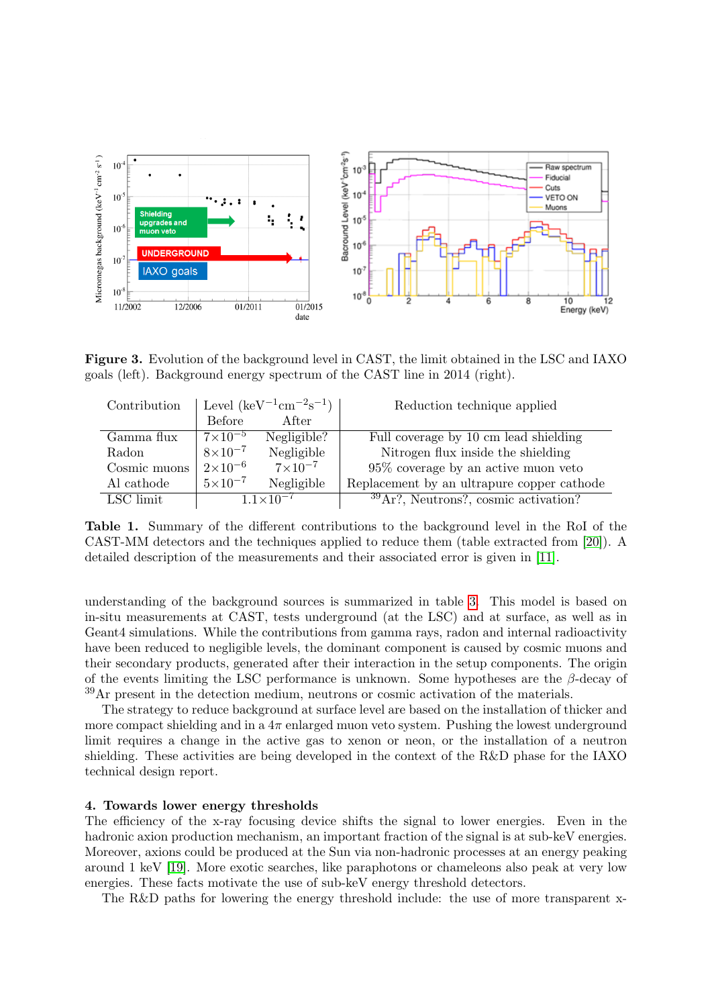

<span id="page-4-1"></span>Figure 3. Evolution of the background level in CAST, the limit obtained in the LSC and IAXO goals (left). Background energy spectrum of the CAST line in 2014 (right).

| Contribution | Level $(\text{keV}^{-1}\text{cm}^{-2}\text{s}^{-1})$ |                    | Reduction technique applied                        |
|--------------|------------------------------------------------------|--------------------|----------------------------------------------------|
|              | <b>Before</b>                                        | After              |                                                    |
| Gamma flux   | $7\times10^{-5}$                                     | Negligible?        | Full coverage by 10 cm lead shielding              |
| Radon        | $8\times10^{-7}$                                     | Negligible         | Nitrogen flux inside the shielding                 |
| Cosmic muons | $2\times10^{-6}$                                     | $7 \times 10^{-7}$ | $95\%$ coverage by an active muon veto             |
| Al cathode   | $5 \times 10^{-7}$                                   | Negligible         | Replacement by an ultrapure copper cathode         |
| LSC limit    | $1.1 \times 10^{-7}$                                 |                    | $39\,\mathrm{Ar}$ ?, Neutrons?, cosmic activation? |

Table 1. Summary of the different contributions to the background level in the RoI of the CAST-MM detectors and the techniques applied to reduce them (table extracted from [\[20\]](#page-6-0)). A detailed description of the measurements and their associated error is given in [\[11\]](#page-5-10).

understanding of the background sources is summarized in table [3.](#page-4-1) This model is based on in-situ measurements at CAST, tests underground (at the LSC) and at surface, as well as in Geant4 simulations. While the contributions from gamma rays, radon and internal radioactivity have been reduced to negligible levels, the dominant component is caused by cosmic muons and their secondary products, generated after their interaction in the setup components. The origin of the events limiting the LSC performance is unknown. Some hypotheses are the  $\beta$ -decay of <sup>39</sup>Ar present in the detection medium, neutrons or cosmic activation of the materials.

The strategy to reduce background at surface level are based on the installation of thicker and more compact shielding and in a  $4\pi$  enlarged muon veto system. Pushing the lowest underground limit requires a change in the active gas to xenon or neon, or the installation of a neutron shielding. These activities are being developed in the context of the R&D phase for the IAXO technical design report.

#### <span id="page-4-0"></span>4. Towards lower energy thresholds

The efficiency of the x-ray focusing device shifts the signal to lower energies. Even in the hadronic axion production mechanism, an important fraction of the signal is at sub-keV energies. Moreover, axions could be produced at the Sun via non-hadronic processes at an energy peaking around 1 keV [\[19\]](#page-5-18). More exotic searches, like paraphotons or chameleons also peak at very low energies. These facts motivate the use of sub-keV energy threshold detectors.

The R&D paths for lowering the energy threshold include: the use of more transparent x-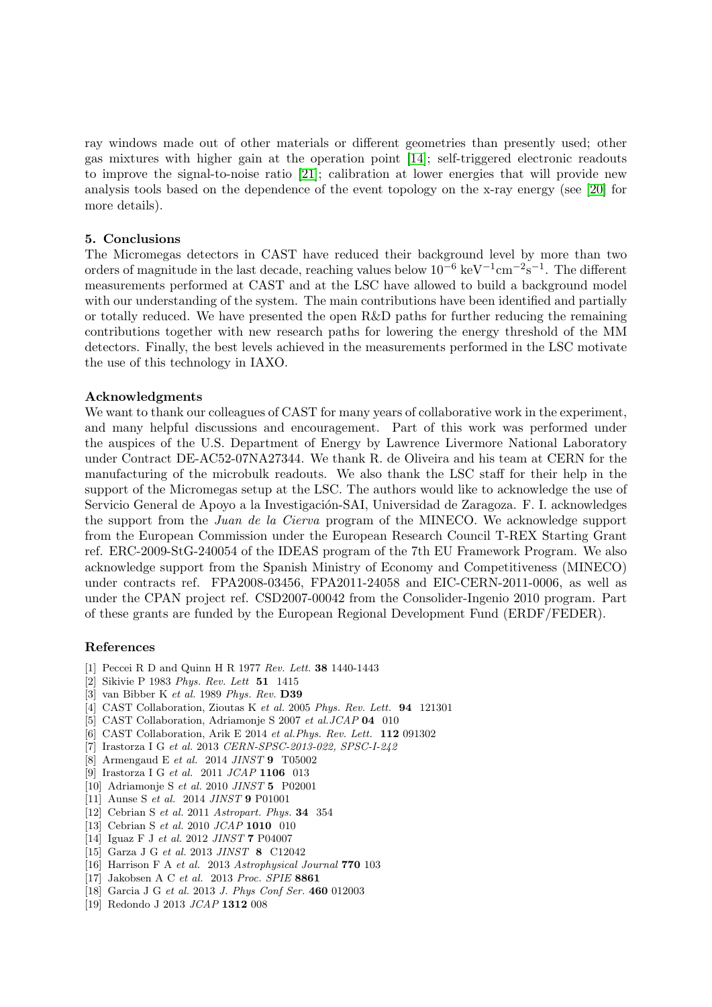ray windows made out of other materials or different geometries than presently used; other gas mixtures with higher gain at the operation point [\[14\]](#page-5-13); self-triggered electronic readouts to improve the signal-to-noise ratio [\[21\]](#page-6-1); calibration at lower energies that will provide new analysis tools based on the dependence of the event topology on the x-ray energy (see [\[20\]](#page-6-0) for more details).

#### 5. Conclusions

The Micromegas detectors in CAST have reduced their background level by more than two orders of magnitude in the last decade, reaching values below  $10^{-6}$  keV<sup>-1</sup>cm<sup>-2</sup>s<sup>-1</sup>. The different measurements performed at CAST and at the LSC have allowed to build a background model with our understanding of the system. The main contributions have been identified and partially or totally reduced. We have presented the open R&D paths for further reducing the remaining contributions together with new research paths for lowering the energy threshold of the MM detectors. Finally, the best levels achieved in the measurements performed in the LSC motivate the use of this technology in IAXO.

#### Acknowledgments

We want to thank our colleagues of CAST for many years of collaborative work in the experiment, and many helpful discussions and encouragement. Part of this work was performed under the auspices of the U.S. Department of Energy by Lawrence Livermore National Laboratory under Contract DE-AC52-07NA27344. We thank R. de Oliveira and his team at CERN for the manufacturing of the microbulk readouts. We also thank the LSC staff for their help in the support of the Micromegas setup at the LSC. The authors would like to acknowledge the use of Servicio General de Apoyo a la Investigación-SAI, Universidad de Zaragoza. F. I. acknowledges the support from the Juan de la Cierva program of the MINECO. We acknowledge support from the European Commission under the European Research Council T-REX Starting Grant ref. ERC-2009-StG-240054 of the IDEAS program of the 7th EU Framework Program. We also acknowledge support from the Spanish Ministry of Economy and Competitiveness (MINECO) under contracts ref. FPA2008-03456, FPA2011-24058 and EIC-CERN-2011-0006, as well as under the CPAN project ref. CSD2007-00042 from the Consolider-Ingenio 2010 program. Part of these grants are funded by the European Regional Development Fund (ERDF/FEDER).

#### References

- <span id="page-5-0"></span>[1] Peccei R D and Quinn H R 1977 Rev. Lett. 38 1440-1443
- <span id="page-5-1"></span>[2] Sikivie P 1983 Phys. Rev. Lett 51 1415
- <span id="page-5-2"></span>[3] van Bibber K et al. 1989 Phys. Rev. D39
- <span id="page-5-3"></span>[4] CAST Collaboration, Zioutas K et al. 2005 Phys. Rev. Lett. 94 121301
- <span id="page-5-4"></span>[5] CAST Collaboration, Adriamonje S 2007 et al.JCAP 04 010
- <span id="page-5-5"></span>[6] CAST Collaboration, Arik E 2014 et al.Phys. Rev. Lett. 112 091302
- <span id="page-5-6"></span>[7] Irastorza I G et al. 2013 CERN-SPSC-2013-022, SPSC-I-242
- <span id="page-5-7"></span>[8] Armengaud E et al. 2014 JINST 9 T05002
- <span id="page-5-8"></span>[9] Irastorza I G et al. 2011 JCAP 1106 013
- <span id="page-5-9"></span>[10] Adriamonje S et al. 2010 JINST 5 P02001
- <span id="page-5-10"></span>[11] Aunse S et al. 2014 JINST 9 P01001
- <span id="page-5-11"></span>[12] Cebrian S et al. 2011 Astropart. Phys. 34 354
- <span id="page-5-12"></span>[13] Cebrian S et al. 2010 JCAP **1010** 010
- <span id="page-5-13"></span>[14] Iguaz F J et al. 2012 JINST 7 P04007
- <span id="page-5-14"></span>[15] Garza J G et al. 2013 JINST 8 C12042
- <span id="page-5-15"></span>[16] Harrison F A et al. 2013 Astrophysical Journal 770 103
- <span id="page-5-16"></span>[17] Jakobsen A C et al. 2013 Proc. SPIE 8861
- <span id="page-5-17"></span>[18] Garcia J G et al. 2013 J. Phys Conf Ser. 460 012003
- <span id="page-5-18"></span>[19] Redondo J 2013 JCAP 1312 008